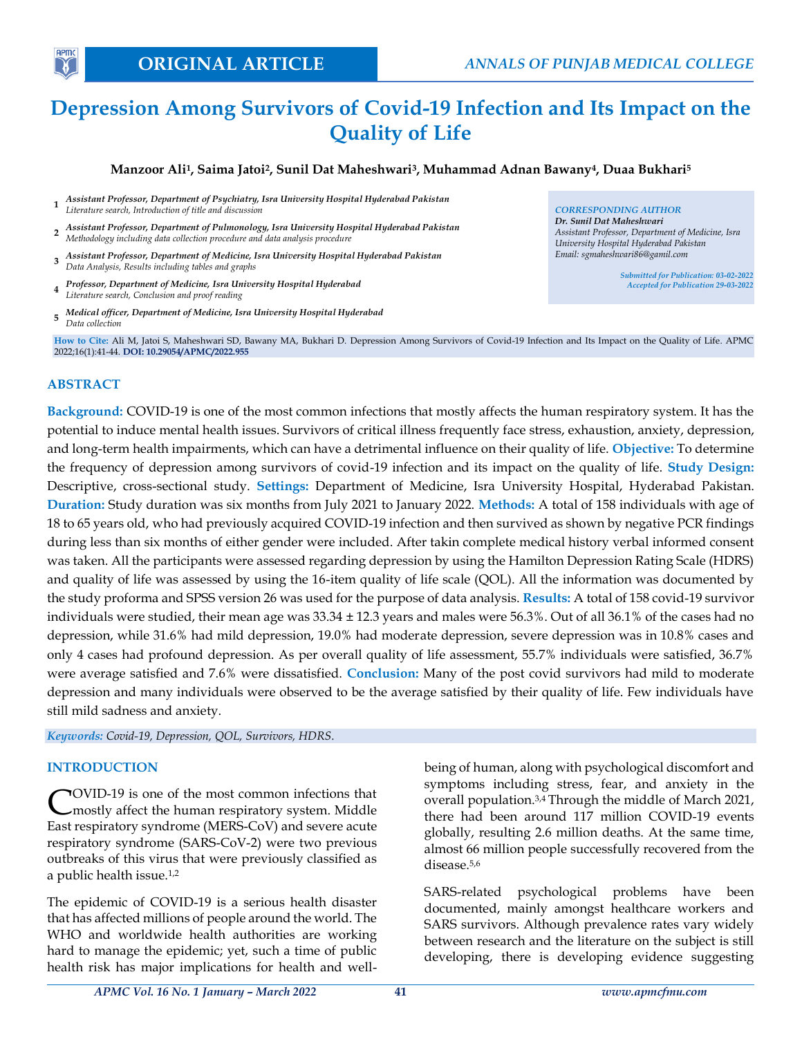*Dr. Sunil Dat Maheshwari*

*Assistant Professor, Department of Medicine, Isra University Hospital Hyderabad Pakistan Email: sgmaheshwari86@gamil.com*

> *Submitted for Publication: 03-02-2022 Accepted for Publication 29-03-2022*

# **Depression Among Survivors of Covid-19 Infection and Its Impact on the Quality of Life**

## **Manzoor Ali<sup>1</sup> , Saima Jatoi<sup>2</sup> , Sunil Dat Maheshwari<sup>3</sup> , Muhammad Adnan Bawany<sup>4</sup> , Duaa Bukhari<sup>5</sup>**

- **1** *Assistant Professor, Department of Psychiatry, Isra University Hospital Hyderabad Pakistan Literature search, Introduction of title and discussion CORRESPONDING AUTHOR*
- **2** *Assistant Professor, Department of Pulmonology, Isra University Hospital Hyderabad Pakistan Methodology including data collection procedure and data analysis procedure*
- **3** *Assistant Professor, Department of Medicine, Isra University Hospital Hyderabad Pakistan Data Analysis, Results including tables and graphs*
- **4** *Professor, Department of Medicine, Isra University Hospital Hyderabad Literature search, Conclusion and proof reading*
- **5** *Medical officer, Department of Medicine, Isra University Hospital Hyderabad Data collection*

**How to Cite:** Ali M, Jatoi S, Maheshwari SD, Bawany MA, Bukhari D. Depression Among Survivors of Covid-19 Infection and Its Impact on the Quality of Life. APMC 2022;16(1):41-44. **DOI: 10.29054/APMC/2022.955**

## **ABSTRACT**

**Background:** COVID-19 is one of the most common infections that mostly affects the human respiratory system. It has the potential to induce mental health issues. Survivors of critical illness frequently face stress, exhaustion, anxiety, depression, and long-term health impairments, which can have a detrimental influence on their quality of life. **Objective:** To determine the frequency of depression among survivors of covid-19 infection and its impact on the quality of life. **Study Design:** Descriptive, cross-sectional study. **Settings:** Department of Medicine, Isra University Hospital, Hyderabad Pakistan. **Duration:** Study duration was six months from July 2021 to January 2022. **Methods:** A total of 158 individuals with age of 18 to 65 years old, who had previously acquired COVID-19 infection and then survived as shown by negative PCR findings during less than six months of either gender were included. After takin complete medical history verbal informed consent was taken. All the participants were assessed regarding depression by using the Hamilton Depression Rating Scale (HDRS) and quality of life was assessed by using the 16-item quality of life scale (QOL). All the information was documented by the study proforma and SPSS version 26 was used for the purpose of data analysis. **Results:** A total of 158 covid-19 survivor individuals were studied, their mean age was 33.34 ± 12.3 years and males were 56.3%. Out of all 36.1% of the cases had no depression, while 31.6% had mild depression, 19.0% had moderate depression, severe depression was in 10.8% cases and only 4 cases had profound depression. As per overall quality of life assessment, 55.7% individuals were satisfied, 36.7% were average satisfied and 7.6% were dissatisfied. **Conclusion:** Many of the post covid survivors had mild to moderate depression and many individuals were observed to be the average satisfied by their quality of life. Few individuals have still mild sadness and anxiety.

*Keywords: Covid-19, Depression, QOL, Survivors, HDRS.*

#### **INTRODUCTION**

OVID-19 is one of the most common infections that mostly affect the human respiratory system. Middle East respiratory syndrome (MERS-CoV) and severe acute respiratory syndrome (SARS-CoV-2) were two previous outbreaks of this virus that were previously classified as a public health issue.1,2 C

The epidemic of COVID-19 is a serious health disaster that has affected millions of people around the world. The WHO and worldwide health authorities are working hard to manage the epidemic; yet, such a time of public health risk has major implications for health and wellbeing of human, along with psychological discomfort and symptoms including stress, fear, and anxiety in the overall population.3,4 Through the middle of March 2021, there had been around 117 million COVID-19 events globally, resulting 2.6 million deaths. At the same time, almost 66 million people successfully recovered from the disease.5,6

SARS-related psychological problems have been documented, mainly amongst healthcare workers and SARS survivors. Although prevalence rates vary widely between research and the literature on the subject is still developing, there is developing evidence suggesting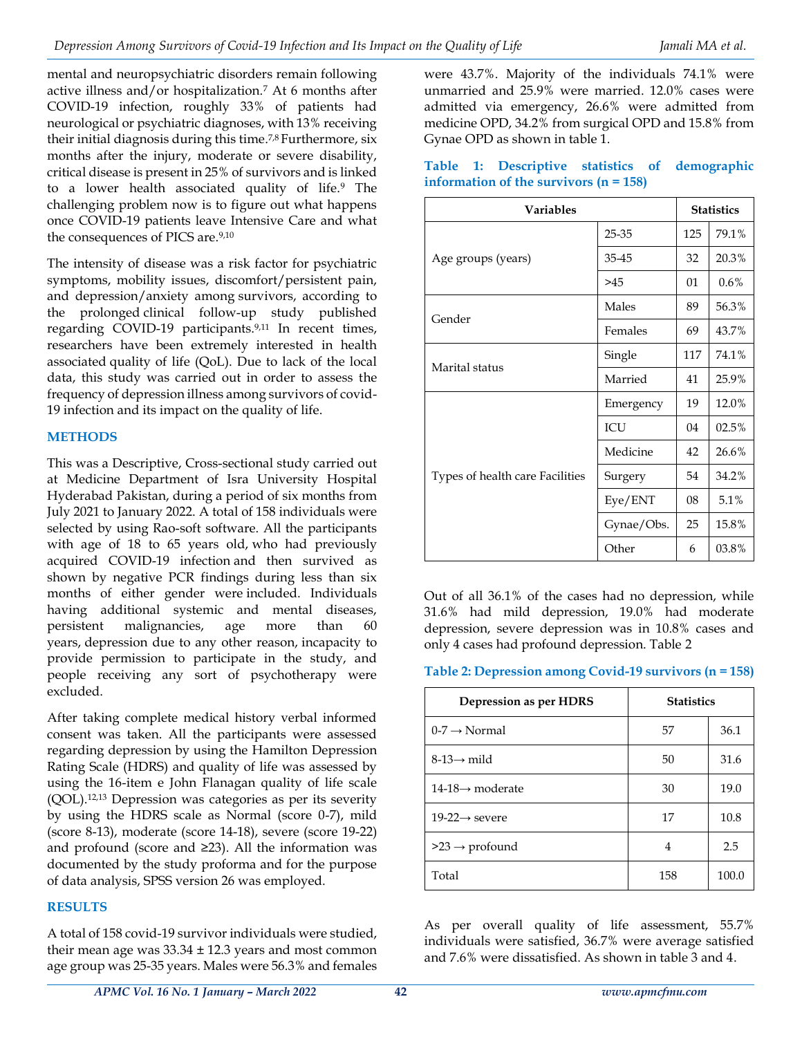mental and neuropsychiatric disorders remain following active illness and/or hospitalization.<sup>7</sup> At 6 months after COVID-19 infection, roughly 33% of patients had neurological or psychiatric diagnoses, with 13% receiving their initial diagnosis during this time.<sup>7,8</sup> Furthermore, six months after the injury, moderate or severe disability, critical disease is present in 25% of survivors and is linked to a lower health associated quality of life.<sup>9</sup> The challenging problem now is to figure out what happens once COVID-19 patients leave Intensive Care and what the consequences of PICS are.<sup>9,10</sup>

The intensity of disease was a risk factor for psychiatric symptoms, mobility issues, discomfort/persistent pain, and depression/anxiety among survivors, according to the prolonged clinical follow-up study published regarding COVID-19 participants.9,11 In recent times, researchers have been extremely interested in health associated quality of life (QoL). Due to lack of the local data, this study was carried out in order to assess the frequency of depression illness among survivors of covid-19 infection and its impact on the quality of life.

## **METHODS**

This was a Descriptive, Cross-sectional study carried out at Medicine Department of Isra University Hospital Hyderabad Pakistan, during a period of six months from July 2021 to January 2022. A total of 158 individuals were selected by using Rao-soft software. All the participants with age of 18 to 65 years old, who had previously acquired COVID-19 infection and then survived as shown by negative PCR findings during less than six months of either gender were included. Individuals having additional systemic and mental diseases, persistent malignancies, age more than years, depression due to any other reason, incapacity to provide permission to participate in the study, and people receiving any sort of psychotherapy were excluded.

After taking complete medical history verbal informed consent was taken. All the participants were assessed regarding depression by using the Hamilton Depression Rating Scale (HDRS) and quality of life was assessed by using the 16-item e John Flanagan quality of life scale (QOL).12,13 Depression was categories as per its severity by using the HDRS scale as Normal (score 0-7), mild (score 8-13), moderate (score 14-18), severe (score 19-22) and profound (score and ≥23). All the information was documented by the study proforma and for the purpose of data analysis, SPSS version 26 was employed.

# **RESULTS**

A total of 158 covid-19 survivor individuals were studied, their mean age was  $33.34 \pm 12.3$  years and most common age group was 25-35 years. Males were 56.3% and females were 43.7%. Majority of the individuals 74.1% were unmarried and 25.9% were married. 12.0% cases were admitted via emergency, 26.6% were admitted from medicine OPD, 34.2% from surgical OPD and 15.8% from Gynae OPD as shown in table 1.

|  |                                          |  | Table 1: Descriptive statistics of demographic |
|--|------------------------------------------|--|------------------------------------------------|
|  | information of the survivors $(n = 158)$ |  |                                                |

| <b>Variables</b>                |            |     | <b>Statistics</b> |  |
|---------------------------------|------------|-----|-------------------|--|
|                                 | 25-35      | 125 | 79.1%             |  |
| Age groups (years)              | 35-45      | 32  | 20.3%             |  |
|                                 | >45        | 01  | $0.6\%$           |  |
|                                 | Males      | 89  | 56.3%             |  |
| Gender                          | Females    | 69  | 43.7%             |  |
| Marital status                  | Single     | 117 | 74.1%             |  |
|                                 | Married    | 41  | 25.9%             |  |
|                                 | Emergency  | 19  | 12.0%             |  |
|                                 | ICU        | 04  | 02.5%             |  |
|                                 | Medicine   | 42  | 26.6%             |  |
| Types of health care Facilities | Surgery    | 54  | 34.2%             |  |
|                                 | Eye/ENT    | 08  | 5.1%              |  |
|                                 | Gynae/Obs. | 25  | 15.8%             |  |
|                                 | Other      | 6   | 03.8%             |  |

Out of all 36.1% of the cases had no depression, while 31.6% had mild depression, 19.0% had moderate depression, severe depression was in 10.8% cases and only 4 cases had profound depression. Table 2

## **Table 2: Depression among Covid-19 survivors (n = 158)**

| Depression as per HDRS          | <b>Statistics</b> |       |  |
|---------------------------------|-------------------|-------|--|
| $0-7 \rightarrow \text{Normal}$ | 57                | 36.1  |  |
| $8-13 \rightarrow$ mild         | 50                | 31.6  |  |
| $14-18 \rightarrow$ moderate    | 30                | 19.0  |  |
| $19-22 \rightarrow$ severe      | 17                | 10.8  |  |
| $>23 \rightarrow$ profound      | 4                 | 2.5   |  |
| Total                           | 158               | 100.0 |  |

As per overall quality of life assessment, 55.7% individuals were satisfied, 36.7% were average satisfied and 7.6% were dissatisfied. As shown in table 3 and 4.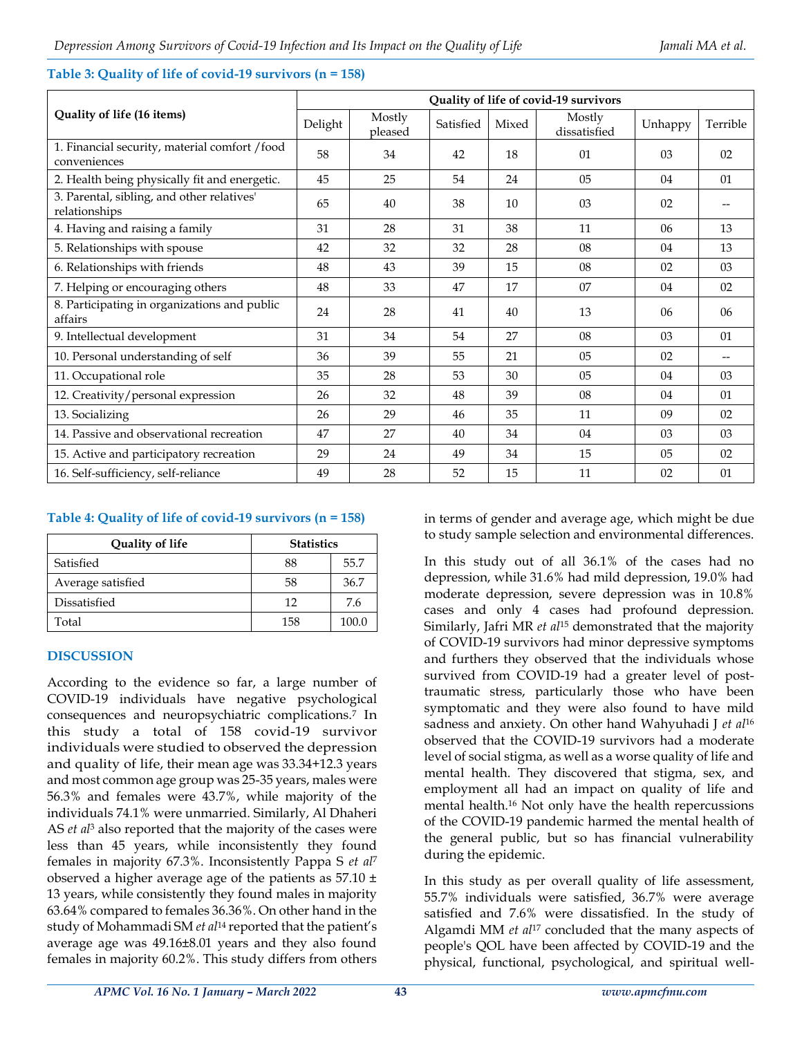# **Quality of life (16 items) Quality of life of covid-19 survivors** Delight Mostly<br>pleased Mostly<br>pleased Satisfied Mixed dissatisfie Mostly<br>dissatisfied Unhappy Terrible 1. Financial security, material comfort /food conveniences 58 58 34 42 18 01 03 02 2. Health being physically fit and energetic. 45 25 54 24 05 04 01 3. Parental, sibling, and other relatives' relationships  $\begin{bmatrix} 65 \\ -40 \\ -10 \end{bmatrix}$   $\begin{bmatrix} 38 \\ 10 \\ -33 \end{bmatrix}$   $\begin{bmatrix} 03 \\ 02 \\ -10 \end{bmatrix}$   $\begin{bmatrix} -10 \\ 02 \\ -10 \end{bmatrix}$ 4. Having and raising a family 131 | 28 | 31 | 38 | 11 | 06 | 13 5. Relationships with spouse  $\begin{array}{|c|c|c|c|c|c|c|c|c|} \hline \end{array}$  42  $\begin{array}{|c|c|c|c|c|} \hline \end{array}$  32  $\begin{array}{|c|c|c|c|c|} \hline \end{array}$  32  $\begin{array}{|c|c|c|c|c|} \hline \end{array}$  38  $\begin{array}{|c|c|c|c|c|} \hline \end{array}$  04  $\begin{array}{|c|c|c|c|c|} \hline \end{array}$  13 6. Relationships with friends 18 18 13 13 39 15 08 02 03 7. Helping or encouraging others 48 33 47 17 07 04 02 8. Participating in organizations and public affairs 3 06 06 06 06 06 12 13 06 06 06 06 06 13 13 06 06 06 06 13 13 13 140 13 13 140 15 15 16 16 17 17 17 17 1 9. Intellectual development 1 31 34 54 27 08 03 01 10. Personal understanding of self 136 39 55 21 05 02 11. Occupational role 35 28 53 30 05 04 03 12. Creativity/personal expression 26 32 48 39 08 04 01 13. Socializing 26 29 46 35 11 09 02 14. Passive and observational recreation  $\begin{array}{|c|c|c|c|c|c|c|c|c|} \hline \end{array}$  47  $\begin{array}{|c|c|c|c|c|c|c|c|} \hline \end{array}$  40  $\begin{array}{|c|c|c|c|c|} \hline \end{array}$  34  $\begin{array}{|c|c|c|c|c|} \hline \end{array}$  03  $\begin{array}{|c|c|c|c|c|} \hline \end{array}$  03  $\begin{array}{|c|c|c$ 15. Active and participatory recreation 29 24 49 34 15 05 02 16. Self-sufficiency, self-reliance 49 28 52 15 11 02 01

# **Table 3: Quality of life of covid-19 survivors (n = 158)**

# **Table 4: Quality of life of covid-19 survivors (n = 158)**

| Quality of life   | <b>Statistics</b> |       |  |
|-------------------|-------------------|-------|--|
| Satisfied         | 88                | 55.7  |  |
| Average satisfied | 58                | 36.7  |  |
| Dissatisfied      | 12                | 7.6   |  |
| Total             | 158               | 100.0 |  |

# **DISCUSSION**

According to the evidence so far, a large number of COVID-19 individuals have negative psychological consequences and neuropsychiatric complications.<sup>7</sup> In this study a total of 158 covid-19 survivor individuals were studied to observed the depression and quality of life, their mean age was 33.34+12.3 years and most common age group was 25-35 years, males were 56.3% and females were 43.7%, while majority of the individuals 74.1% were unmarried. Similarly, Al Dhaheri AS *et al*<sup>3</sup> also reported that the majority of the cases were less than 45 years, while inconsistently they found females in majority 67.3%. Inconsistently Pappa S *et al*<sup>7</sup> observed a higher average age of the patients as  $57.10 \pm$ 13 years, while consistently they found males in majority 63.64% compared to females 36.36%. On other hand in the study of Mohammadi SM *et al*<sup>14</sup> reported that the patient's average age was 49.16±8.01 years and they also found females in majority 60.2%. This study differs from others

in terms of gender and average age, which might be due to study sample selection and environmental differences.

In this study out of all 36.1% of the cases had no depression, while 31.6% had mild depression, 19.0% had moderate depression, severe depression was in 10.8% cases and only 4 cases had profound depression. Similarly, Jafri MR *et al*<sup>15</sup> demonstrated that the majority of COVID-19 survivors had minor depressive symptoms and furthers they observed that the individuals whose survived from COVID-19 had a greater level of posttraumatic stress, particularly those who have been symptomatic and they were also found to have mild sadness and anxiety. On other hand Wahyuhadi J *et al*<sup>16</sup> observed that the COVID-19 survivors had a moderate level of social stigma, as well as a worse quality of life and mental health. They discovered that stigma, sex, and employment all had an impact on quality of life and mental health.<sup>16</sup> Not only have the health repercussions of the COVID-19 pandemic harmed the mental health of the general public, but so has financial vulnerability during the epidemic.

In this study as per overall quality of life assessment, 55.7% individuals were satisfied, 36.7% were average satisfied and 7.6% were dissatisfied. In the study of Algamdi MM *et al*<sup>17</sup> concluded that the many aspects of people's QOL have been affected by COVID-19 and the physical, functional, psychological, and spiritual well